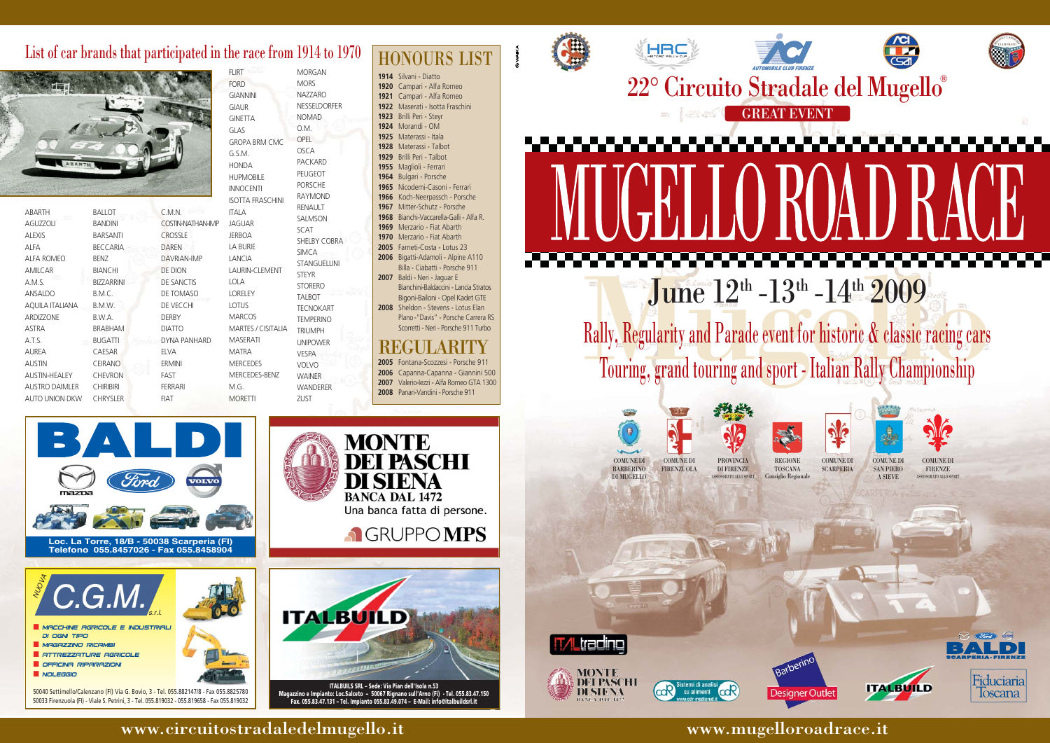June  $12^{\text{th}}$  -13<sup>th</sup> -14<sup>th</sup> 2009<br>Rally, Regularity and Parade event for historic & classic racing cars<br>Touring, grand touring and sport - Italian Rally Championship Rally, Regularity and Parade event for historic & classic racing cars Touring, grand touring and sport - Italian Rally Championship

> PROVINCIA DI FIRENZE ASSESSORATO ALLO SPORT REGIONE TOSCANA Consiglio Regionale













COMUNE DI **SCARPERIA** 



COMUNE DI **BARBERINO** 

**Denverth** 

COMUNE DI SAN PIERO A SIEVE

**ITALBUILD** 



COMUNE DI FIRENZE ASSESSORATO ALLO SPORT



COMUNE DI FIRENZUOLA DI MUGELLO

## www.circuitostradaledelmugello.it www.mugelloroadrace.it







**Telefono 055.8457026 - Fax 055.8458904**

 Silvani - Diatto Campari - Alfa Romeo Campari - Alfa Romeo Maserati - Isotta Fraschini Brilli Peri - Steyr Morandi - OM Materassi - Itala Materassi - Talbot Brilli Peri - Talbot Maglioli - Ferrari Bulgari - Porsche Nicodemi-Casoni - Ferrari Koch-Neerpassch - Porsche Mitter-Schutz - Porsche Bianchi-Vaccarella-Galli - Alfa R. Merzario - Fiat Abarth Merzario - Fiat Abarth Farneti-Costa - Lotus 23 Bigatti-Adamoli - Alpine A110 Billa - Ciabatti - Porsche 911

**2007** Baldi - Neri - Jaguar E Bianchini-Baldaccini - Lancia Stratos Bigoni-Bailoni - Opel Kadet GTE **2008** Sheldon - Stevens - Lotus Elan Plano -"Davis" - Porsche Carrera RS Scorretti - Neri - Porsche 911 Turbo

## REGULARI

**PASCHT** 

Fontana-Scozzesi - Porsche 911 Capanna-Capanna - Giannini 500 Valerio-Iezzi - Alfa Romeo GTA 1300 Panari-Vandini - Porsche 911

NUOVA

50040 Settimello/Calenzano (FI) Via G. Bovio, 3 - Tel. 055.882147/8 - Fax 055.8825780 50033 Firenzuola (FI) - Viale S. Petrini, 3 - Tel. 055.819032 - 055.819658 - Fax 055.819032





di ogni tipo

- MAGAZZINO RICAMBI
- Attrezzature agricole
- Officina riparazioni ■ NOLEGGIO
- 

| <b>ABARTH</b>        | BALLOT            |
|----------------------|-------------------|
| <b>AGUZZOLI</b>      | <b>BANDINI</b>    |
| <b>ALEXIS</b>        | <b>BARSANTI</b>   |
| ALFA                 | BECCARIA          |
| <b>ALFA ROMEO</b>    | BENZ              |
| <b>AMILCAR</b>       | <b>BIANCHI</b>    |
| A.M.S.               | <b>BIZZARRINI</b> |
| <b>ANSALDO</b>       | B.M.C.            |
| AQUILA ITALIANA      | B.M.W.            |
| <b>ARDIZZONE</b>     | B.W.A.            |
| <b>ASTRA</b>         | <b>BRABHAM</b>    |
| A.T.S.               | <b>BUGATTI</b>    |
| <b>AUREA</b>         | CAESAR            |
| <b>AUSTIN</b>        | CEIRANO           |
| <b>AUSTIN-HEALEY</b> | <b>CHEVRON</b>    |
| AUSTRO DAIMLER       | <b>CHIRIBIRI</b>  |
| AUTO UNION DKW       | <b>CHRYSLER</b>   |
|                      |                   |

FIAT

# List of car brands that participated in the race from  $1914$  to  $1970$   $HONOLIRS$  LIST



C.M.N. COSTIN-NATHAN-IMP CROSSLE DAREN DAVRIAN-IMP DE DION DE SANCTIS DE TOMASO DE VECCHI DERBY DIATTO DYNA PANHARD ELVA ERMINI FAST FERRARI G.S.M. **HOND** HUPN **INNO ISOTT** ITALA **JAGU JERBO** LA BU LANC LAUR LOLA LOREL LOTU **MARC** MAR<sub>T</sub> MASE MATR MERC MERC M.G.

| <b>FLIRT</b>              | MORGAN              |  |
|---------------------------|---------------------|--|
| <b>FORD</b>               | <b>MORS</b>         |  |
| <b>GIANNINI</b>           | <b>NAZZARO</b>      |  |
| <b>GIAUR</b>              | <b>NESSELDORFER</b> |  |
| <b>GINETTA</b>            | <b>NOMAD</b>        |  |
| GLAS                      | OM.                 |  |
| <b>GROPA BRM CMC</b>      | <b>OPEL</b>         |  |
| G.S.M.                    | OSCA                |  |
| <b>HONDA</b>              | <b>PACKARD</b>      |  |
| <b>HUPMOBILE</b>          | <b>PEUGEOT</b>      |  |
| <b>INNOCENTI</b>          | <b>PORSCHE</b>      |  |
| <b>ISOTTA FRASCHINI</b>   | <b>RAYMOND</b>      |  |
| <b>ITALA</b>              | <b>RENAULT</b>      |  |
| <b>JAGUAR</b>             | <b>SALMSON</b>      |  |
| <b>JERBOA</b>             | <b>SCAT</b>         |  |
| <b>LA BURIE</b>           | <b>SHELBY COBRA</b> |  |
| LANCIA                    | <b>SIMCA</b>        |  |
| LAURIN-CLEMENT            | <b>STANGUELLINI</b> |  |
| LOLA                      | <b>STEYR</b>        |  |
| <b>LORELEY</b>            | <b>STORERO</b>      |  |
| LOTUS                     | <b>TALBOT</b>       |  |
| <b>MARCOS</b>             | <b>TECNOKART</b>    |  |
| <b>MARTES / CISITALIA</b> | <b>TEMPERINO</b>    |  |
| <b>MASERATI</b>           | <b>TRIUMPH</b>      |  |
| <b>MATRA</b>              | <b>UNIPOWER</b>     |  |
|                           | VESPA               |  |
| <b>MERCEDES</b>           | <b>VOLVO</b>        |  |
| MERCEDES-BENZ             | <b>WAINER</b>       |  |
| M.G.                      | <b>WANDERER</b>     |  |
| <b>MORETTI</b>            | ZUST                |  |

**ITALBUILS SRL – Sede: Via Pian dell'Isola n.53 Magazzino e Impianto: Loc.Salceto – 50067 Rignano sull'Arno (Fi) - Tel. 055.83.47.150 Fax. 055.83.47.131 – Tel. Impianto 055.83.49.074 – E-Mail: info@italbuildsrl.it**

**MONTE**